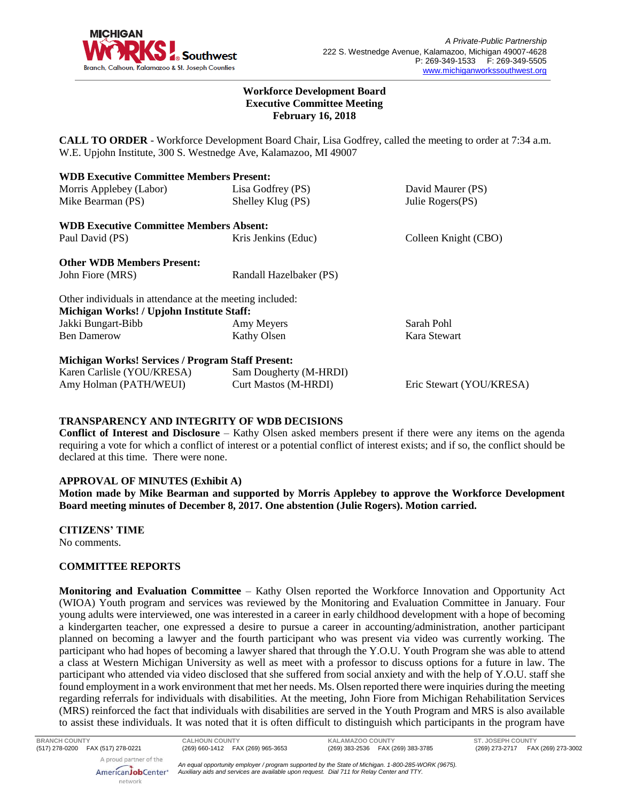

#### **Workforce Development Board Executive Committee Meeting February 16, 2018**

**CALL TO ORDER** - Workforce Development Board Chair, Lisa Godfrey, called the meeting to order at 7:34 a.m. W.E. Upjohn Institute, 300 S. Westnedge Ave, Kalamazoo, MI 49007

| <b>WDB Executive Committee Members Present:</b>          |                         |                          |
|----------------------------------------------------------|-------------------------|--------------------------|
| Morris Applebey (Labor)                                  | Lisa Godfrey (PS)       | David Maurer (PS)        |
| Mike Bearman (PS)                                        | Shelley Klug (PS)       | Julie Rogers(PS)         |
| <b>WDB Executive Committee Members Absent:</b>           |                         |                          |
| Paul David (PS)                                          | Kris Jenkins (Educ)     | Colleen Knight (CBO)     |
| <b>Other WDB Members Present:</b>                        |                         |                          |
| John Fiore (MRS)                                         | Randall Hazelbaker (PS) |                          |
| Other individuals in attendance at the meeting included: |                         |                          |
| Michigan Works! / Upjohn Institute Staff:                |                         |                          |
| Jakki Bungart-Bibb                                       | Amy Meyers              | Sarah Pohl               |
| <b>Ben Damerow</b>                                       | Kathy Olsen             | Kara Stewart             |
| <b>Michigan Works! Services / Program Staff Present:</b> |                         |                          |
| Karen Carlisle (YOU/KRESA)                               | Sam Dougherty (M-HRDI)  |                          |
| Amy Holman (PATH/WEUI)                                   | Curt Mastos (M-HRDI)    | Eric Stewart (YOU/KRESA) |

#### **TRANSPARENCY AND INTEGRITY OF WDB DECISIONS**

**Conflict of Interest and Disclosure** – Kathy Olsen asked members present if there were any items on the agenda requiring a vote for which a conflict of interest or a potential conflict of interest exists; and if so, the conflict should be declared at this time. There were none.

#### **APPROVAL OF MINUTES (Exhibit A)**

**Motion made by Mike Bearman and supported by Morris Applebey to approve the Workforce Development Board meeting minutes of December 8, 2017. One abstention (Julie Rogers). Motion carried.** 

**CITIZENS' TIME**

No comments.

# **COMMITTEE REPORTS**

**Monitoring and Evaluation Committee** – Kathy Olsen reported the Workforce Innovation and Opportunity Act (WIOA) Youth program and services was reviewed by the Monitoring and Evaluation Committee in January. Four young adults were interviewed, one was interested in a career in early childhood development with a hope of becoming a kindergarten teacher, one expressed a desire to pursue a career in accounting/administration, another participant planned on becoming a lawyer and the fourth participant who was present via video was currently working. The participant who had hopes of becoming a lawyer shared that through the Y.O.U. Youth Program she was able to attend a class at Western Michigan University as well as meet with a professor to discuss options for a future in law. The participant who attended via video disclosed that she suffered from social anxiety and with the help of Y.O.U. staff she found employment in a work environment that met her needs. Ms. Olsen reported there were inquiries during the meeting regarding referrals for individuals with disabilities. At the meeting, John Fiore from Michigan Rehabilitation Services (MRS) reinforced the fact that individuals with disabilities are served in the Youth Program and MRS is also available to assist these individuals. It was noted that it is often difficult to distinguish which participants in the program have

AmericanJobCenter<sup>®</sup> network

*An equal opportunity employer / program supported by the State of Michigan. 1-800-285-WORK (9675). Auxiliary aids and services are available upon request. Dial 711 for Relay Center and TTY.*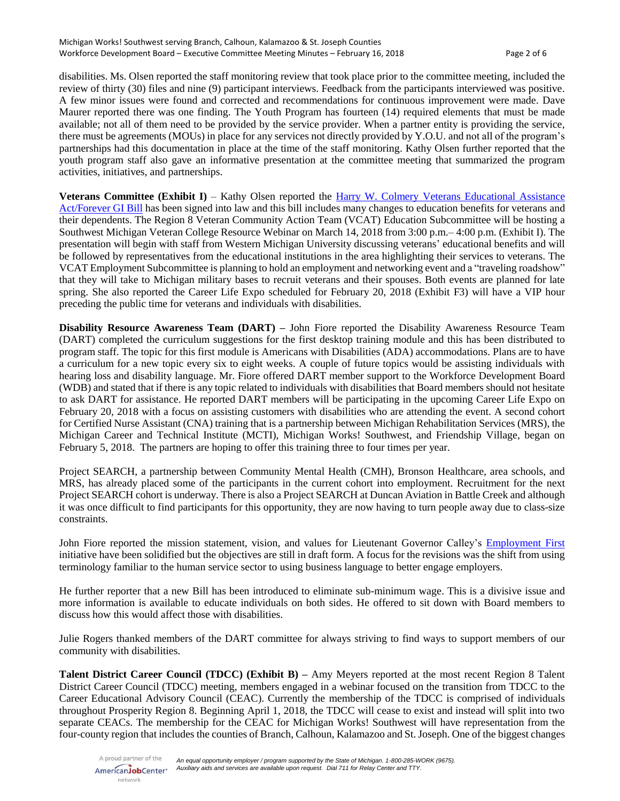disabilities. Ms. Olsen reported the staff monitoring review that took place prior to the committee meeting, included the review of thirty (30) files and nine (9) participant interviews. Feedback from the participants interviewed was positive. A few minor issues were found and corrected and recommendations for continuous improvement were made. Dave Maurer reported there was one finding. The Youth Program has fourteen (14) required elements that must be made available; not all of them need to be provided by the service provider. When a partner entity is providing the service, there must be agreements (MOUs) in place for any services not directly provided by Y.O.U. and not all of the program's partnerships had this documentation in place at the time of the staff monitoring. Kathy Olsen further reported that the youth program staff also gave an informative presentation at the committee meeting that summarized the program activities, initiatives, and partnerships.

**Veterans Committee (Exhibit I)** – Kathy Olsen reported the Harry W. Colmery [Veterans Educational Assistance](https://benefits.va.gov/gibill/forevergibill.asp)  [Act/Forever GI Bill](https://benefits.va.gov/gibill/forevergibill.asp) has been signed into law and this bill includes many changes to education benefits for veterans and their dependents. The Region 8 Veteran Community Action Team (VCAT) Education Subcommittee will be hosting a Southwest Michigan Veteran College Resource Webinar on March 14, 2018 from 3:00 p.m.– 4:00 p.m. (Exhibit I). The presentation will begin with staff from Western Michigan University discussing veterans' educational benefits and will be followed by representatives from the educational institutions in the area highlighting their services to veterans. The VCAT Employment Subcommittee is planning to hold an employment and networking event and a "traveling roadshow" that they will take to Michigan military bases to recruit veterans and their spouses. Both events are planned for late spring. She also reported the Career Life Expo scheduled for February 20, 2018 (Exhibit F3) will have a VIP hour preceding the public time for veterans and individuals with disabilities.

**Disability Resource Awareness Team (DART) –** John Fiore reported the Disability Awareness Resource Team (DART) completed the curriculum suggestions for the first desktop training module and this has been distributed to program staff. The topic for this first module is Americans with Disabilities (ADA) accommodations. Plans are to have a curriculum for a new topic every six to eight weeks. A couple of future topics would be assisting individuals with hearing loss and disability language. Mr. Fiore offered DART member support to the Workforce Development Board (WDB) and stated that if there is any topic related to individuals with disabilities that Board members should not hesitate to ask DART for assistance. He reported DART members will be participating in the upcoming Career Life Expo on February 20, 2018 with a focus on assisting customers with disabilities who are attending the event. A second cohort for Certified Nurse Assistant (CNA) training that is a partnership between Michigan Rehabilitation Services (MRS), the Michigan Career and Technical Institute (MCTI), Michigan Works! Southwest, and Friendship Village, began on February 5, 2018. The partners are hoping to offer this training three to four times per year.

Project SEARCH, a partnership between Community Mental Health (CMH), Bronson Healthcare, area schools, and MRS, has already placed some of the participants in the current cohort into employment. Recruitment for the next Project SEARCH cohort is underway. There is also a Project SEARCH at Duncan Aviation in Battle Creek and although it was once difficult to find participants for this opportunity, they are now having to turn people away due to class-size constraints.

John Fiore reported the mission statement, vision, and values for Lieutenant Governor Calley's [Employment First](https://www.michigan.gov/documents/snyder/EO_2015-15_506303_7.pdf) initiative have been solidified but the objectives are still in draft form. A focus for the revisions was the shift from using terminology familiar to the human service sector to using business language to better engage employers.

He further reporter that a new Bill has been introduced to eliminate sub-minimum wage. This is a divisive issue and more information is available to educate individuals on both sides. He offered to sit down with Board members to discuss how this would affect those with disabilities.

Julie Rogers thanked members of the DART committee for always striving to find ways to support members of our community with disabilities.

**Talent District Career Council (TDCC) (Exhibit B) –** Amy Meyers reported at the most recent Region 8 Talent District Career Council (TDCC) meeting, members engaged in a webinar focused on the transition from TDCC to the Career Educational Advisory Council (CEAC). Currently the membership of the TDCC is comprised of individuals throughout Prosperity Region 8. Beginning April 1, 2018, the TDCC will cease to exist and instead will split into two separate CEACs. The membership for the CEAC for Michigan Works! Southwest will have representation from the four-county region that includes the counties of Branch, Calhoun, Kalamazoo and St. Joseph. One of the biggest changes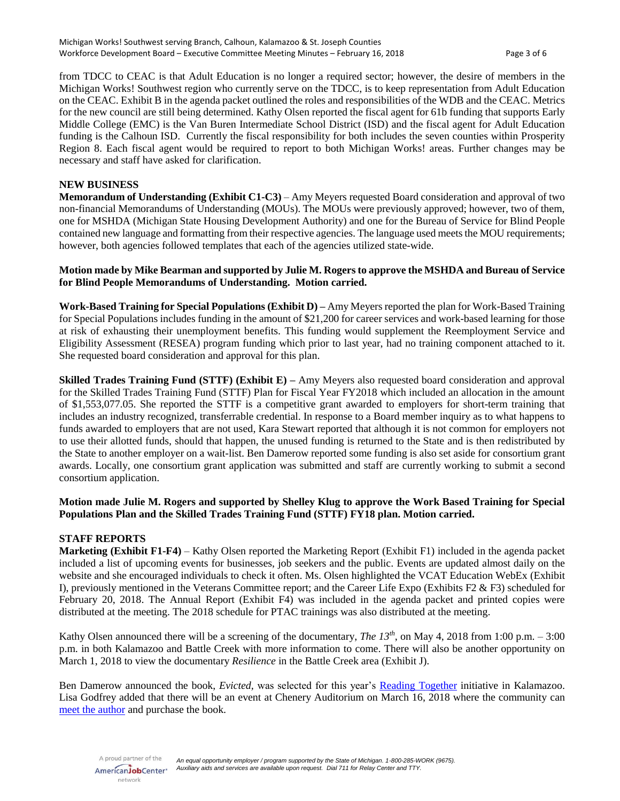from TDCC to CEAC is that Adult Education is no longer a required sector; however, the desire of members in the Michigan Works! Southwest region who currently serve on the TDCC, is to keep representation from Adult Education on the CEAC. Exhibit B in the agenda packet outlined the roles and responsibilities of the WDB and the CEAC. Metrics for the new council are still being determined. Kathy Olsen reported the fiscal agent for 61b funding that supports Early Middle College (EMC) is the Van Buren Intermediate School District (ISD) and the fiscal agent for Adult Education funding is the Calhoun ISD. Currently the fiscal responsibility for both includes the seven counties within Prosperity Region 8. Each fiscal agent would be required to report to both Michigan Works! areas. Further changes may be necessary and staff have asked for clarification.

## **NEW BUSINESS**

**Memorandum of Understanding (Exhibit C1-C3)** – Amy Meyers requested Board consideration and approval of two non-financial Memorandums of Understanding (MOUs). The MOUs were previously approved; however, two of them, one for MSHDA (Michigan State Housing Development Authority) and one for the Bureau of Service for Blind People contained new language and formatting from their respective agencies. The language used meets the MOU requirements; however, both agencies followed templates that each of the agencies utilized state-wide.

#### **Motion made by Mike Bearman and supported by Julie M. Rogersto approve the MSHDA and Bureau of Service for Blind People Memorandums of Understanding. Motion carried.**

**Work-Based Training for Special Populations (Exhibit D) –** Amy Meyers reported the plan for Work-Based Training for Special Populations includes funding in the amount of \$21,200 for career services and work-based learning for those at risk of exhausting their unemployment benefits. This funding would supplement the Reemployment Service and Eligibility Assessment (RESEA) program funding which prior to last year, had no training component attached to it. She requested board consideration and approval for this plan.

**Skilled Trades Training Fund (STTF) (Exhibit E) –** Amy Meyers also requested board consideration and approval for the Skilled Trades Training Fund (STTF) Plan for Fiscal Year FY2018 which included an allocation in the amount of \$1,553,077.05. She reported the STTF is a competitive grant awarded to employers for short-term training that includes an industry recognized, transferrable credential. In response to a Board member inquiry as to what happens to funds awarded to employers that are not used, Kara Stewart reported that although it is not common for employers not to use their allotted funds, should that happen, the unused funding is returned to the State and is then redistributed by the State to another employer on a wait-list. Ben Damerow reported some funding is also set aside for consortium grant awards. Locally, one consortium grant application was submitted and staff are currently working to submit a second consortium application.

# **Motion made Julie M. Rogers and supported by Shelley Klug to approve the Work Based Training for Special Populations Plan and the Skilled Trades Training Fund (STTF) FY18 plan. Motion carried.**

#### **STAFF REPORTS**

**Marketing (Exhibit F1-F4)** – Kathy Olsen reported the Marketing Report (Exhibit F1) included in the agenda packet included a list of upcoming events for businesses, job seekers and the public. Events are updated almost daily on the website and she encouraged individuals to check it often. Ms. Olsen highlighted the VCAT Education WebEx (Exhibit I), previously mentioned in the Veterans Committee report; and the Career Life Expo (Exhibits F2 & F3) scheduled for February 20, 2018. The Annual Report (Exhibit F4) was included in the agenda packet and printed copies were distributed at the meeting. The 2018 schedule for PTAC trainings was also distributed at the meeting.

Kathy Olsen announced there will be a screening of the documentary, *The 13<sup>th</sup>*, on May 4, 2018 from 1:00 p.m.  $-3:00$ p.m. in both Kalamazoo and Battle Creek with more information to come. There will also be another opportunity on March 1, 2018 to view the documentary *Resilience* in the Battle Creek area (Exhibit J).

Ben Damerow announced the book, *Evicted,* was selected for this year's Reading [Together](http://www.kpl.gov/reading-together/next.aspx) initiative in Kalamazoo. Lisa Godfrey added that there will be an event at Chenery Auditorium on March 16, 2018 where the community can [meet the author](http://www.kpl.gov/reading-together/Default2018.aspx) and purchase the book.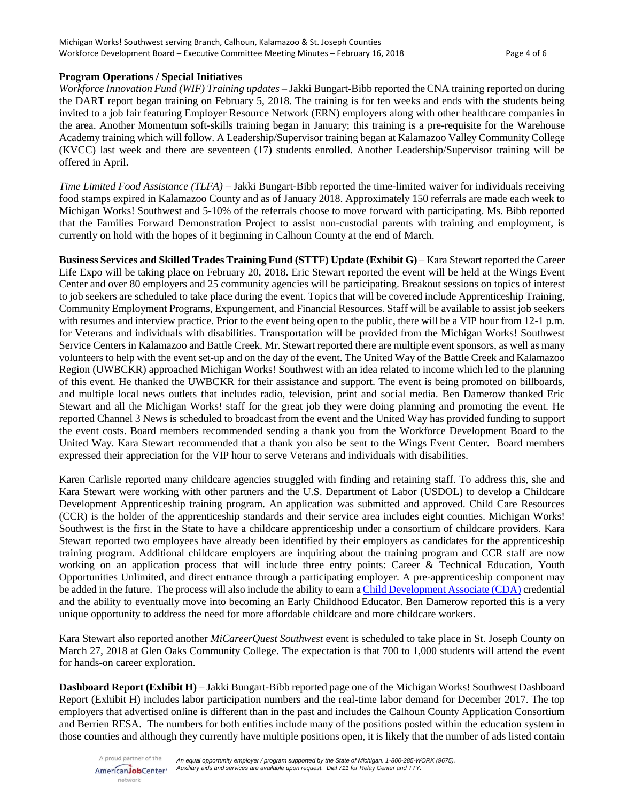#### **Program Operations / Special Initiatives**

*Workforce Innovation Fund (WIF) Training updates –* Jakki Bungart-Bibb reported the CNA training reported on during the DART report began training on February 5, 2018. The training is for ten weeks and ends with the students being invited to a job fair featuring Employer Resource Network (ERN) employers along with other healthcare companies in the area. Another Momentum soft-skills training began in January; this training is a pre-requisite for the Warehouse Academy training which will follow. A Leadership/Supervisor training began at Kalamazoo Valley Community College (KVCC) last week and there are seventeen (17) students enrolled. Another Leadership/Supervisor training will be offered in April.

*Time Limited Food Assistance (TLFA)* – Jakki Bungart-Bibb reported the time-limited waiver for individuals receiving food stamps expired in Kalamazoo County and as of January 2018. Approximately 150 referrals are made each week to Michigan Works! Southwest and 5-10% of the referrals choose to move forward with participating. Ms. Bibb reported that the Families Forward Demonstration Project to assist non-custodial parents with training and employment, is currently on hold with the hopes of it beginning in Calhoun County at the end of March.

**Business Services and Skilled Trades Training Fund (STTF) Update (Exhibit G)** – Kara Stewart reported the Career Life Expo will be taking place on February 20, 2018. Eric Stewart reported the event will be held at the Wings Event Center and over 80 employers and 25 community agencies will be participating. Breakout sessions on topics of interest to job seekers are scheduled to take place during the event. Topics that will be covered include Apprenticeship Training, Community Employment Programs, Expungement, and Financial Resources. Staff will be available to assist job seekers with resumes and interview practice. Prior to the event being open to the public, there will be a VIP hour from 12-1 p.m. for Veterans and individuals with disabilities. Transportation will be provided from the Michigan Works! Southwest Service Centers in Kalamazoo and Battle Creek. Mr. Stewart reported there are multiple event sponsors, as well as many volunteers to help with the event set-up and on the day of the event. The United Way of the Battle Creek and Kalamazoo Region (UWBCKR) approached Michigan Works! Southwest with an idea related to income which led to the planning of this event. He thanked the UWBCKR for their assistance and support. The event is being promoted on billboards, and multiple local news outlets that includes radio, television, print and social media. Ben Damerow thanked Eric Stewart and all the Michigan Works! staff for the great job they were doing planning and promoting the event. He reported Channel 3 News is scheduled to broadcast from the event and the United Way has provided funding to support the event costs. Board members recommended sending a thank you from the Workforce Development Board to the United Way. Kara Stewart recommended that a thank you also be sent to the Wings Event Center. Board members expressed their appreciation for the VIP hour to serve Veterans and individuals with disabilities.

Karen Carlisle reported many childcare agencies struggled with finding and retaining staff. To address this, she and Kara Stewart were working with other partners and the U.S. Department of Labor (USDOL) to develop a Childcare Development Apprenticeship training program. An application was submitted and approved. Child Care Resources (CCR) is the holder of the apprenticeship standards and their service area includes eight counties. Michigan Works! Southwest is the first in the State to have a childcare apprenticeship under a consortium of childcare providers. Kara Stewart reported two employees have already been identified by their employers as candidates for the apprenticeship training program. Additional childcare employers are inquiring about the training program and CCR staff are now working on an application process that will include three entry points: Career & Technical Education, Youth Opportunities Unlimited, and direct entrance through a participating employer. A pre-apprenticeship component may be added in the future. The process will also include the ability to earn [a Child Development Associate \(CDA\)](http://www.cdacouncil.org/about/cda-credential) credential and the ability to eventually move into becoming an Early Childhood Educator. Ben Damerow reported this is a very unique opportunity to address the need for more affordable childcare and more childcare workers.

Kara Stewart also reported another *MiCareerQuest Southwest* event is scheduled to take place in St. Joseph County on March 27, 2018 at Glen Oaks Community College. The expectation is that 700 to 1,000 students will attend the event for hands-on career exploration.

**Dashboard Report (Exhibit H)** – Jakki Bungart-Bibb reported page one of the Michigan Works! Southwest Dashboard Report (Exhibit H) includes labor participation numbers and the real-time labor demand for December 2017. The top employers that advertised online is different than in the past and includes the Calhoun County Application Consortium and Berrien RESA. The numbers for both entities include many of the positions posted within the education system in those counties and although they currently have multiple positions open, it is likely that the number of ads listed contain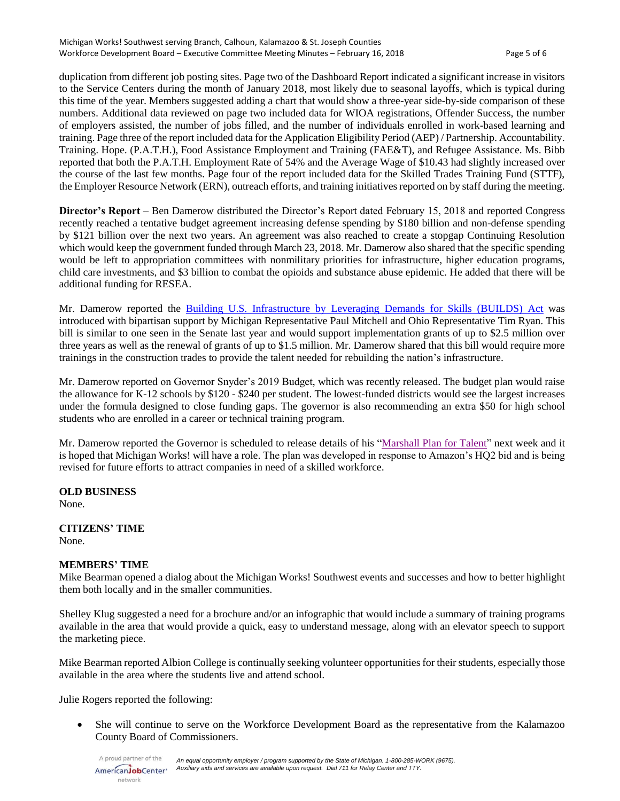duplication from different job posting sites. Page two of the Dashboard Report indicated a significant increase in visitors to the Service Centers during the month of January 2018, most likely due to seasonal layoffs, which is typical during this time of the year. Members suggested adding a chart that would show a three-year side-by-side comparison of these numbers. Additional data reviewed on page two included data for WIOA registrations, Offender Success, the number of employers assisted, the number of jobs filled, and the number of individuals enrolled in work-based learning and training. Page three of the report included data for the Application Eligibility Period (AEP) / Partnership. Accountability. Training. Hope. (P.A.T.H.), Food Assistance Employment and Training (FAE&T), and Refugee Assistance. Ms. Bibb reported that both the P.A.T.H. Employment Rate of 54% and the Average Wage of \$10.43 had slightly increased over the course of the last few months. Page four of the report included data for the Skilled Trades Training Fund (STTF), the Employer Resource Network (ERN), outreach efforts, and training initiativesreported on by staff during the meeting.

**Director's Report** – Ben Damerow distributed the Director's Report dated February 15, 2018 and reported Congress recently reached a tentative budget agreement increasing defense spending by \$180 billion and non-defense spending by \$121 billion over the next two years. An agreement was also reached to create a stopgap Continuing Resolution which would keep the government funded through March 23, 2018. Mr. Damerow also shared that the specific spending would be left to appropriation committees with nonmilitary priorities for infrastructure, higher education programs, child care investments, and \$3 billion to combat the opioids and substance abuse epidemic. He added that there will be additional funding for RESEA.

Mr. Damerow reported the [Building U.S. Infrastructure by Leveraging Demands for Skills \(BUILDS\)](https://www.congress.gov/bill/115th-congress/senate-bill/1599/text) Act was introduced with bipartisan support by Michigan Representative Paul Mitchell and Ohio Representative Tim Ryan. This bill is similar to one seen in the Senate last year and would support implementation grants of up to \$2.5 million over three years as well as the renewal of grants of up to \$1.5 million. Mr. Damerow shared that this bill would require more trainings in the construction trades to provide the talent needed for rebuilding the nation's infrastructure.

Mr. Damerow reported on Governor Snyder's 2019 Budget, which was recently released. The budget plan would raise the allowance for K-12 schools by \$120 - \$240 per student. The lowest-funded districts would see the largest increases under the formula designed to close funding gaps. The governor is also recommending an extra \$50 for high school students who are enrolled in a career or technical training program.

Mr. Damerow reported the Governor is scheduled to release details of his ["Marshall Plan for Talent"](http://www.michigan.gov/ted/0,5863,7-336-85008---,00.html) next week and it is hoped that Michigan Works! will have a role. The plan was developed in response to Amazon's HQ2 bid and is being revised for future efforts to attract companies in need of a skilled workforce.

# **OLD BUSINESS**

None.

# **CITIZENS' TIME**

None.

# **MEMBERS' TIME**

Mike Bearman opened a dialog about the Michigan Works! Southwest events and successes and how to better highlight them both locally and in the smaller communities.

Shelley Klug suggested a need for a brochure and/or an infographic that would include a summary of training programs available in the area that would provide a quick, easy to understand message, along with an elevator speech to support the marketing piece.

Mike Bearman reported Albion College is continually seeking volunteer opportunities for their students, especially those available in the area where the students live and attend school.

Julie Rogers reported the following:

• She will continue to serve on the Workforce Development Board as the representative from the Kalamazoo County Board of Commissioners.